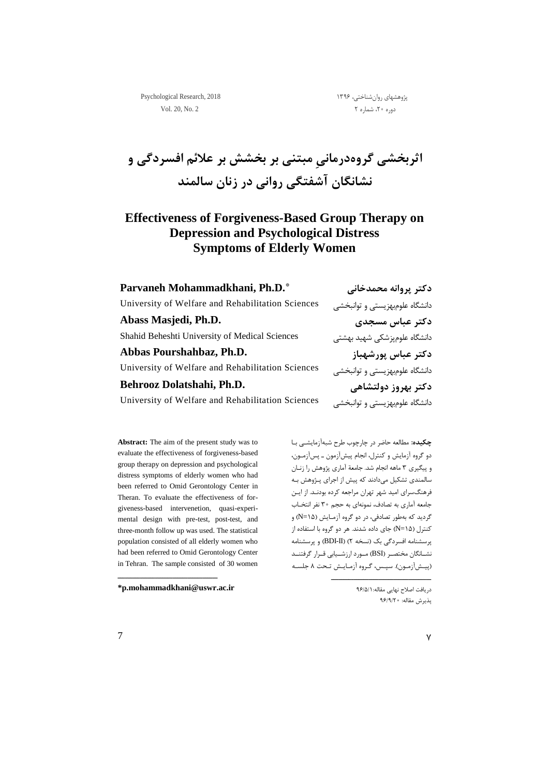پژوهشهای روان شناختی، ۱۳۹۶ 1۳۹۶ کال Psychological Research, 2018 دوره ۲۰، شماره ۲  $\sim$  0.20, No. 2

**اثربخشی گروهدرمانیِ مبتنی بر بخشش بر عالئم افسردگی و نشانگان آشفتگی روانی در زنان سالمند** 

## **Effectiveness of Forgiveness-Based Group Therapy on Depression and Psychological Distress Symptoms of Elderly Women**

| Parvaneh Mohammadkhani, Ph.D.*                    | دکتر پروانه محمدخانی           |
|---------------------------------------------------|--------------------------------|
| University of Welfare and Rehabilitation Sciences | دانشگاه علومبهزيستي و توانبخشي |
| Abass Masjedi, Ph.D.                              | دكتر عباس مسجدى                |
| Shahid Beheshti University of Medical Sciences    | دانشگاه علومپزشکی شهید بهشتی   |
| Abbas Pourshahbaz, Ph.D.                          | دكتر عباس پورشهباز             |
| University of Welfare and Rehabilitation Sciences | دانشگاه علومبهزیستی و توانبخشی |
| Behrooz Dolatshahi, Ph.D.                         | دکتر بهروز دولتشاهی            |
| University of Welfare and Rehabilitation Sciences | دانشگاه علومبهزیستی و توانبخشی |

**Abstract:** The aim of the present study was to evaluate the effectiveness of forgiveness-based group therapy on depression and psychological distress symptoms of elderly women who had been referred to Omid Gerontology Center in Theran. To evaluate the effectiveness of forgiveness-based intervenetion, quasi-experimental design with pre-test, post-test, and three-month follow up was used. The statistical population consisted of all elderly women who had been referred to Omid Gerontology Center in Tehran. The sample consisted of 30 women

**[\\*p.mohammadkhani@uswr.ac.ir](mailto:p.mohammadkhani@uswr.ac.ir)**

یییییییییییییییییییییییییییییییییییییییی

**چکیده:** مطالعه حاضر در چارچوب طرح شبهآزمایشیی بیا دو گروه آزمایش و کنترل، انجام پیشآزمون ی پسآزمیون ، و پیگیری 1 ماهه انجام شد. جامعة آماری پژوهش را زنیان سالمندی تشکیل میدادند که پیش از اجرای پیژوهش بیه فرهنگسرای امید شهر تهران مراجعه کرده بودنید. از ایی جامعه آماری به تصادف، نمونهای به حجم 12 نفر انتخیاب گردید که بهطور تصادفی، در دو گروه آزمـایش (N=۱۵) و کنترل )31=N )جای داده شدند. هر دو گروه با استفاده از پرسشنامه افسردگی بک )نسخه 0( )II-BDI )و پرسشنامه نشــانگان مختصـر (BSI) مــورد ارزشــیابی قــرار گرفتنــد )پییشآزمیون(. سپیس، گیروه آزمیاییش تیحت 8 جلسیه

> دریافت اصالح نهایی مقاله96/1/3: پذیرش مقاله: 96/9/02

یییییییییییییییییییییییییییییییییییییییی